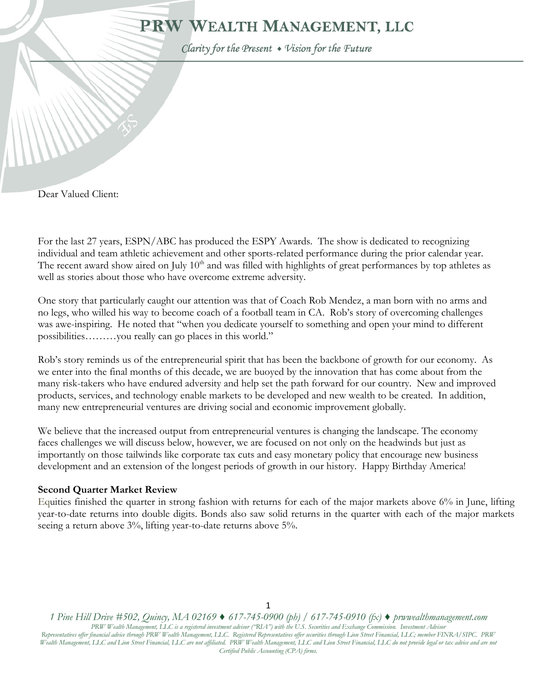# PRW WEALTH MANAGEMENT, LLC

Clarity for the Present • Vision for the Future

Dear Valued Client:

١

For the last 27 years, ESPN/ABC has produced the ESPY Awards. The show is dedicated to recognizing individual and team athletic achievement and other sports-related performance during the prior calendar year. The recent award show aired on July 10<sup>th</sup> and was filled with highlights of great performances by top athletes as well as stories about those who have overcome extreme adversity.

One story that particularly caught our attention was that of Coach Rob Mendez, a man born with no arms and no legs, who willed his way to become coach of a football team in CA. Rob's story of overcoming challenges was awe-inspiring. He noted that "when you dedicate yourself to something and open your mind to different possibilities………you really can go places in this world."

Rob's story reminds us of the entrepreneurial spirit that has been the backbone of growth for our economy. As we enter into the final months of this decade, we are buoyed by the innovation that has come about from the many risk-takers who have endured adversity and help set the path forward for our country. New and improved products, services, and technology enable markets to be developed and new wealth to be created. In addition, many new entrepreneurial ventures are driving social and economic improvement globally.

We believe that the increased output from entrepreneurial ventures is changing the landscape. The economy faces challenges we will discuss below, however, we are focused on not only on the headwinds but just as importantly on those tailwinds like corporate tax cuts and easy monetary policy that encourage new business development and an extension of the longest periods of growth in our history. Happy Birthday America!

#### **Second Quarter Market Review**

Equities finished the quarter in strong fashion with returns for each of the major markets above 6% in June, lifting year-to-date returns into double digits. Bonds also saw solid returns in the quarter with each of the major markets seeing a return above 3%, lifting year-to-date returns above 5%.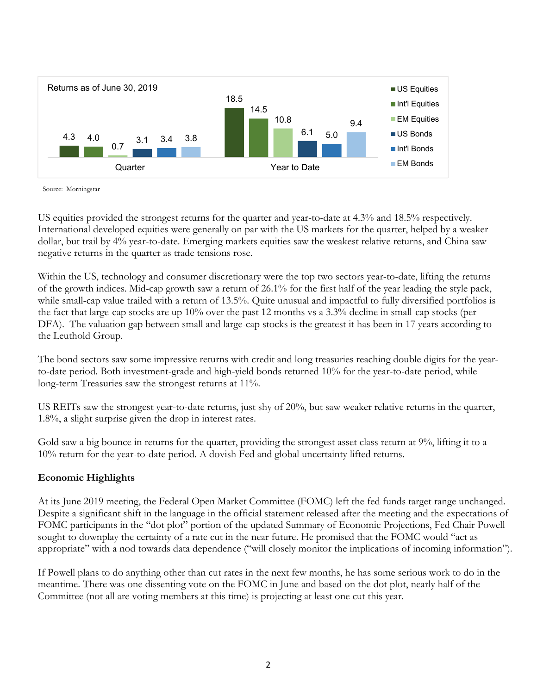

Source: Morningstar

US equities provided the strongest returns for the quarter and year-to-date at 4.3% and 18.5% respectively. International developed equities were generally on par with the US markets for the quarter, helped by a weaker dollar, but trail by 4% year-to-date. Emerging markets equities saw the weakest relative returns, and China saw negative returns in the quarter as trade tensions rose.

Within the US, technology and consumer discretionary were the top two sectors year-to-date, lifting the returns of the growth indices. Mid-cap growth saw a return of 26.1% for the first half of the year leading the style pack, while small-cap value trailed with a return of 13.5%. Quite unusual and impactful to fully diversified portfolios is the fact that large-cap stocks are up 10% over the past 12 months vs a 3.3% decline in small-cap stocks (per DFA). The valuation gap between small and large-cap stocks is the greatest it has been in 17 years according to the Leuthold Group.

The bond sectors saw some impressive returns with credit and long treasuries reaching double digits for the yearto-date period. Both investment-grade and high-yield bonds returned 10% for the year-to-date period, while long-term Treasuries saw the strongest returns at 11%.

US REITs saw the strongest year-to-date returns, just shy of 20%, but saw weaker relative returns in the quarter, 1.8%, a slight surprise given the drop in interest rates.

Gold saw a big bounce in returns for the quarter, providing the strongest asset class return at  $9\%$ , lifting it to a 10% return for the year-to-date period. A dovish Fed and global uncertainty lifted returns.

#### **Economic Highlights**

At its June 2019 meeting, the Federal Open Market Committee (FOMC) left the fed funds target range unchanged. Despite a significant shift in the language in the official statement released after the meeting and the expectations of FOMC participants in the "dot plot" portion of the updated Summary of Economic Projections, Fed Chair Powell sought to downplay the certainty of a rate cut in the near future. He promised that the FOMC would "act as appropriate" with a nod towards data dependence ("will closely monitor the implications of incoming information").

If Powell plans to do anything other than cut rates in the next few months, he has some serious work to do in the meantime. There was one dissenting vote on the FOMC in June and based on the dot plot, nearly half of the Committee (not all are voting members at this time) is projecting at least one cut this year.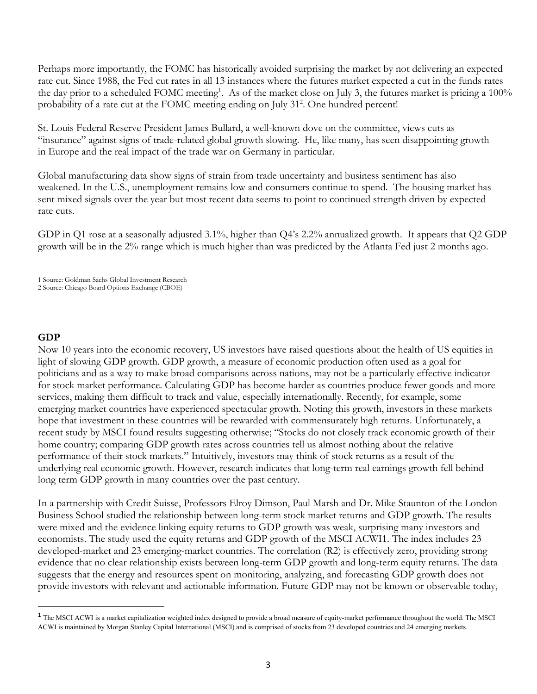Perhaps more importantly, the FOMC has historically avoided surprising the market by not delivering an expected rate cut. Since 1988, the Fed cut rates in all 13 instances where the futures market expected a cut in the funds rates the day prior to a scheduled FOMC meeting<sup>1</sup>. As of the market close on July 3, the futures market is pricing a 100% probability of a rate cut at the FOMC meeting ending on July 31<sup>2</sup>. One hundred percent!

St. Louis Federal Reserve President James Bullard, a well-known dove on the committee, views cuts as "insurance" against signs of trade-related global growth slowing. He, like many, has seen disappointing growth in Europe and the real impact of the trade war on Germany in particular.

Global manufacturing data show signs of strain from trade uncertainty and business sentiment has also weakened. In the U.S., unemployment remains low and consumers continue to spend. The housing market has sent mixed signals over the year but most recent data seems to point to continued strength driven by expected rate cuts.

GDP in Q1 rose at a seasonally adjusted 3.1%, higher than Q4's 2.2% annualized growth. It appears that Q2 GDP growth will be in the 2% range which is much higher than was predicted by the Atlanta Fed just 2 months ago.

1 Source: Goldman Sachs Global Investment Research

## **GDP**

Now 10 years into the economic recovery, US investors have raised questions about the health of US equities in light of slowing GDP growth. GDP growth, a measure of economic production often used as a goal for politicians and as a way to make broad comparisons across nations, may not be a particularly effective indicator for stock market performance. Calculating GDP has become harder as countries produce fewer goods and more services, making them difficult to track and value, especially internationally. Recently, for example, some emerging market countries have experienced spectacular growth. Noting this growth, investors in these markets hope that investment in these countries will be rewarded with commensurately high returns. Unfortunately, a recent study by MSCI found results suggesting otherwise; "Stocks do not closely track economic growth of their home country; comparing GDP growth rates across countries tell us almost nothing about the relative performance of their stock markets." Intuitively, investors may think of stock returns as a result of the underlying real economic growth. However, research indicates that long-term real earnings growth fell behind long term GDP growth in many countries over the past century.

In a partnership with Credit Suisse, Professors Elroy Dimson, Paul Marsh and Dr. Mike Staunton of the London Business School studied the relationship between long-term stock market returns and GDP growth. The results were mixed and the evidence linking equity returns to GDP growth was weak, surprising many investors and economists. The study used the equity returns and GDP growth of the MSCI ACWI1. The index includes 23 developed-market and 23 emerging-market countries. The correlation (R2) is effectively zero, providing strong evidence that no clear relationship exists between long-term GDP growth and long-term equity returns. The data suggests that the energy and resources spent on monitoring, analyzing, and forecasting GDP growth does not provide investors with relevant and actionable information. Future GDP may not be known or observable today,

<sup>2</sup> Source: Chicago Board Options Exchange (CBOE)

<sup>&</sup>lt;sup>1</sup> The MSCI ACWI is a market capitalization weighted index designed to provide a broad measure of equity-market performance throughout the world. The MSCI ACWI is maintained by Morgan Stanley Capital International (MSCI) and is comprised of stocks from 23 developed countries and 24 emerging markets.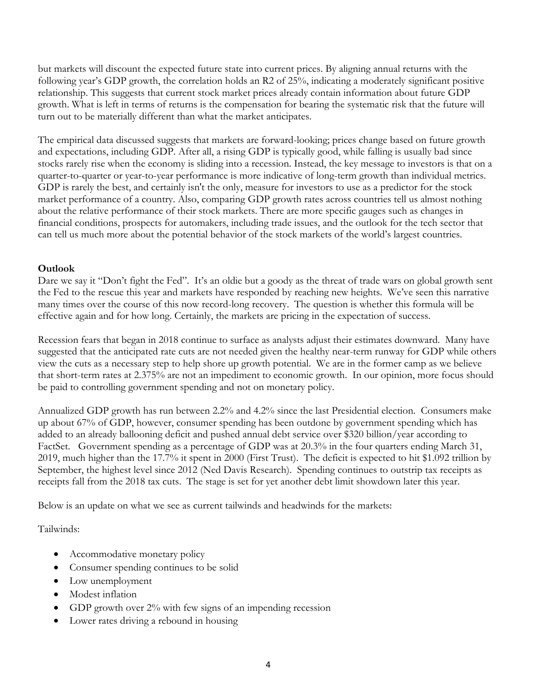but markets will discount the expected future state into current prices. By aligning annual returns with the following year's GDP growth, the correlation holds an R2 of 25%, indicating a moderately significant positive relationship. This suggests that current stock market prices already contain information about future GDP growth. What is left in terms of returns is the compensation for bearing the systematic risk that the future will turn out to be materially different than what the market anticipates.

The empirical data discussed suggests that markets are forward-looking; prices change based on future growth and expectations, including GDP. After all, a rising GDP is typically good, while falling is usually bad since stocks rarely rise when the economy is sliding into a recession. Instead, the key message to investors is that on a quarter-to-quarter or year-to-year performance is more indicative of long-term growth than individual metrics. GDP is rarely the best, and certainly isn't the only, measure for investors to use as a predictor for the stock market performance of a country. Also, comparing GDP growth rates across countries tell us almost nothing about the relative performance of their stock markets. There are more specific gauges such as changes in financial conditions, prospects for automakers, including trade issues, and the outlook for the tech sector that can tell us much more about the potential behavior of the stock markets of the world's largest countries.

## **Outlook**

Dare we say it "Don't fight the Fed". It's an oldie but a goody as the threat of trade wars on global growth sent the Fed to the rescue this year and markets have responded by reaching new heights. We've seen this narrative many times over the course of this now record-long recovery. The question is whether this formula will be effective again and for how long. Certainly, the markets are pricing in the expectation of success.

Recession fears that began in 2018 continue to surface as analysts adjust their estimates downward. Many have suggested that the anticipated rate cuts are not needed given the healthy near-term runway for GDP while others view the cuts as a necessary step to help shore up growth potential. We are in the former camp as we believe that short-term rates at 2.375% are not an impediment to economic growth. In our opinion, more focus should be paid to controlling government spending and not on monetary policy.

Annualized GDP growth has run between 2.2% and 4.2% since the last Presidential election. Consumers make up about 67% of GDP, however, consumer spending has been outdone by government spending which has added to an already ballooning deficit and pushed annual debt service over \$320 billion/year according to FactSet. Government spending as a percentage of GDP was at 20.3% in the four quarters ending March 31, 2019, much higher than the 17.7% it spent in 2000 (First Trust). The deficit is expected to hit \$1.092 trillion by September, the highest level since 2012 (Ned Davis Research). Spending continues to outstrip tax receipts as receipts fall from the 2018 tax cuts. The stage is set for yet another debt limit showdown later this year.

Below is an update on what we see as current tailwinds and headwinds for the markets:

Tailwinds:

- Accommodative monetary policy
- Consumer spending continues to be solid
- Low unemployment
- Modest inflation
- GDP growth over 2% with few signs of an impending recession
- Lower rates driving a rebound in housing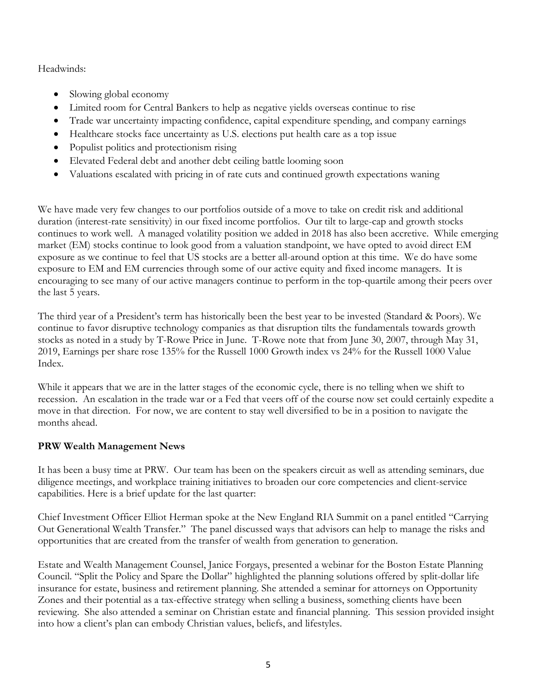Headwinds:

- Slowing global economy
- Limited room for Central Bankers to help as negative yields overseas continue to rise
- Trade war uncertainty impacting confidence, capital expenditure spending, and company earnings
- Healthcare stocks face uncertainty as U.S. elections put health care as a top issue
- Populist politics and protectionism rising
- Elevated Federal debt and another debt ceiling battle looming soon
- Valuations escalated with pricing in of rate cuts and continued growth expectations waning

We have made very few changes to our portfolios outside of a move to take on credit risk and additional duration (interest-rate sensitivity) in our fixed income portfolios. Our tilt to large-cap and growth stocks continues to work well. A managed volatility position we added in 2018 has also been accretive. While emerging market (EM) stocks continue to look good from a valuation standpoint, we have opted to avoid direct EM exposure as we continue to feel that US stocks are a better all-around option at this time. We do have some exposure to EM and EM currencies through some of our active equity and fixed income managers. It is encouraging to see many of our active managers continue to perform in the top-quartile among their peers over the last 5 years.

The third year of a President's term has historically been the best year to be invested (Standard & Poors). We continue to favor disruptive technology companies as that disruption tilts the fundamentals towards growth stocks as noted in a study by T-Rowe Price in June. T-Rowe note that from June 30, 2007, through May 31, 2019, Earnings per share rose 135% for the Russell 1000 Growth index vs 24% for the Russell 1000 Value Index.

While it appears that we are in the latter stages of the economic cycle, there is no telling when we shift to recession. An escalation in the trade war or a Fed that veers off of the course now set could certainly expedite a move in that direction. For now, we are content to stay well diversified to be in a position to navigate the months ahead.

# **PRW Wealth Management News**

It has been a busy time at PRW. Our team has been on the speakers circuit as well as attending seminars, due diligence meetings, and workplace training initiatives to broaden our core competencies and client-service capabilities. Here is a brief update for the last quarter:

Chief Investment Officer Elliot Herman spoke at the New England RIA Summit on a panel entitled "Carrying Out Generational Wealth Transfer." The panel discussed ways that advisors can help to manage the risks and opportunities that are created from the transfer of wealth from generation to generation.

Estate and Wealth Management Counsel, Janice Forgays, presented a webinar for the Boston Estate Planning Council. "Split the Policy and Spare the Dollar" highlighted the planning solutions offered by split-dollar life insurance for estate, business and retirement planning. She attended a seminar for attorneys on Opportunity Zones and their potential as a tax-effective strategy when selling a business, something clients have been reviewing. She also attended a seminar on Christian estate and financial planning. This session provided insight into how a client's plan can embody Christian values, beliefs, and lifestyles.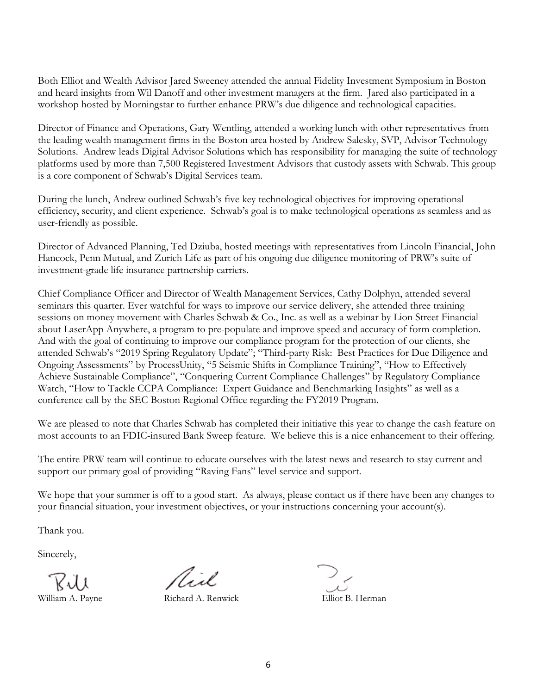Both Elliot and Wealth Advisor Jared Sweeney attended the annual Fidelity Investment Symposium in Boston and heard insights from Wil Danoff and other investment managers at the firm. Jared also participated in a workshop hosted by Morningstar to further enhance PRW's due diligence and technological capacities.

Director of Finance and Operations, Gary Wentling, attended a working lunch with other representatives from the leading wealth management firms in the Boston area hosted by Andrew Salesky, SVP, Advisor Technology Solutions. Andrew leads Digital Advisor Solutions which has responsibility for managing the suite of technology platforms used by more than 7,500 Registered Investment Advisors that custody assets with Schwab. This group is a core component of Schwab's Digital Services team.

During the lunch, Andrew outlined Schwab's five key technological objectives for improving operational efficiency, security, and client experience. Schwab's goal is to make technological operations as seamless and as user-friendly as possible.

Director of Advanced Planning, Ted Dziuba, hosted meetings with representatives from Lincoln Financial, John Hancock, Penn Mutual, and Zurich Life as part of his ongoing due diligence monitoring of PRW's suite of investment-grade life insurance partnership carriers.

Chief Compliance Officer and Director of Wealth Management Services, Cathy Dolphyn, attended several seminars this quarter. Ever watchful for ways to improve our service delivery, she attended three training sessions on money movement with Charles Schwab & Co., Inc. as well as a webinar by Lion Street Financial about LaserApp Anywhere, a program to pre-populate and improve speed and accuracy of form completion. And with the goal of continuing to improve our compliance program for the protection of our clients, she attended Schwab's "2019 Spring Regulatory Update"; "Third-party Risk: Best Practices for Due Diligence and Ongoing Assessments" by ProcessUnity, "5 Seismic Shifts in Compliance Training", "How to Effectively Achieve Sustainable Compliance", "Conquering Current Compliance Challenges" by Regulatory Compliance Watch, "How to Tackle CCPA Compliance: Expert Guidance and Benchmarking Insights" as well as a conference call by the SEC Boston Regional Office regarding the FY2019 Program.

We are pleased to note that Charles Schwab has completed their initiative this year to change the cash feature on most accounts to an FDIC-insured Bank Sweep feature. We believe this is a nice enhancement to their offering.

The entire PRW team will continue to educate ourselves with the latest news and research to stay current and support our primary goal of providing "Raving Fans" level service and support.

We hope that your summer is off to a good start. As always, please contact us if there have been any changes to your financial situation, your investment objectives, or your instructions concerning your account(s).

Thank you.

Sincerely,

 $\bigvee_{\text{William A.} \text{ Payne}} \bigvee_{\text{Richard A.} \text{Renwick}} \bigvee_{\text{Elliot B. Hermann}}$ 

Aid